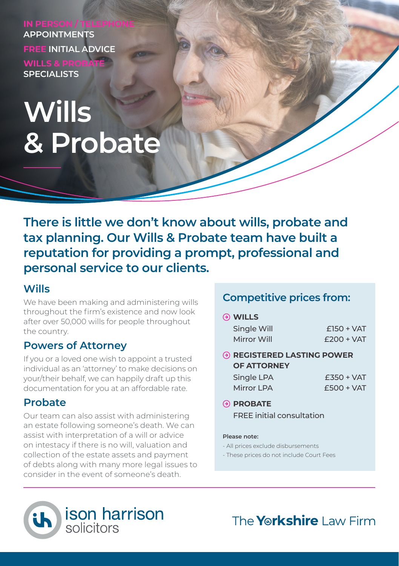**APPOINTMENTS FREE INITIAL ADVICE WILLS & PRO SPECIALISTS**

# **Wills & Probate**

**There is little we don't know about wills, probate and tax planning. Our Wills & Probate team have built a reputation for providing a prompt, professional and personal service to our clients.**

## **Wills**

We have been making and administering wills throughout the firm's existence and now look after over 50,000 wills for people throughout the country.

## **Powers of Attorney**

If you or a loved one wish to appoint a trusted individual as an 'attorney' to make decisions on your/their behalf, we can happily draft up this documentation for you at an affordable rate.

## **Probate**

Our team can also assist with administering an estate following someone's death. We can assist with interpretation of a will or advice on intestacy if there is no will, valuation and collection of the estate assets and payment of debts along with many more legal issues to consider in the event of someone's death.

## **Competitive prices from:**

## **WILLS**

| Single Will | $£150 + VAT$ |
|-------------|--------------|
| Mirror Will | $£200 + VAT$ |

 **REGISTERED LASTING POWER OF ATTORNEY**

| Single LPA | $£350 + VAT$ |
|------------|--------------|
| Mirror LPA | $£500 + VAT$ |

**PROBATE** FREE initial consultation

#### **Please note:**

- All prices exclude disbursements
- These prices do not include Court Fees



The **Yorkshire** Law Firm